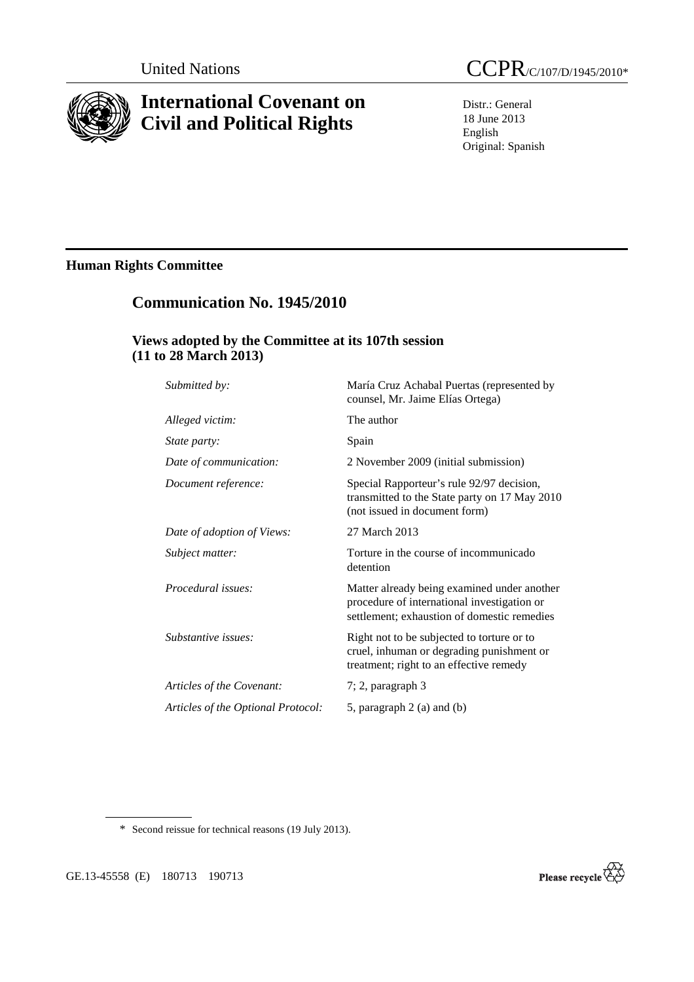

# **International Covenant on Civil and Political Rights**

Distr.: General 18 June 2013 English Original: Spanish

# **Human Rights Committee**

# **Communication No. 1945/2010**

### **Views adopted by the Committee at its 107th session (11 to 28 March 2013)**

| Submitted by:                      | María Cruz Achabal Puertas (represented by<br>counsel, Mr. Jaime Elías Ortega)                                                            |
|------------------------------------|-------------------------------------------------------------------------------------------------------------------------------------------|
| Alleged victim:                    | The author                                                                                                                                |
| <i>State party:</i>                | Spain                                                                                                                                     |
| Date of communication:             | 2 November 2009 (initial submission)                                                                                                      |
| Document reference:                | Special Rapporteur's rule 92/97 decision,<br>transmitted to the State party on 17 May 2010<br>(not issued in document form)               |
| Date of adoption of Views:         | 27 March 2013                                                                                                                             |
| Subject matter:                    | Torture in the course of incommunicado<br>detention                                                                                       |
| Procedural issues:                 | Matter already being examined under another<br>procedure of international investigation or<br>settlement; exhaustion of domestic remedies |
| Substantive issues:                | Right not to be subjected to torture or to<br>cruel, inhuman or degrading punishment or<br>treatment; right to an effective remedy        |
| Articles of the Covenant:          | $7; 2$ , paragraph $3$                                                                                                                    |
| Articles of the Optional Protocol: | 5, paragraph $2$ (a) and (b)                                                                                                              |
|                                    |                                                                                                                                           |

\* Second reissue for technical reasons (19 July 2013).

GE.13-45558 (E) 180713 190713

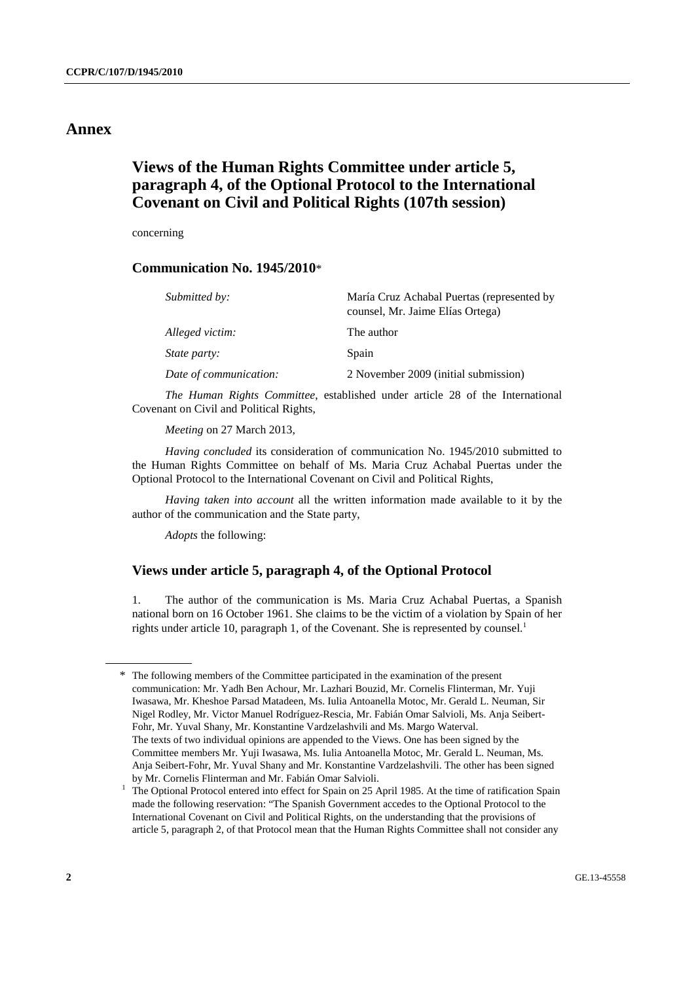### **Annex**

### **Views of the Human Rights Committee under article 5, paragraph 4, of the Optional Protocol to the International Covenant on Civil and Political Rights (107th session)**

concerning

### **Communication No. 1945/2010**\*

| Submitted by:          | María Cruz Achabal Puertas (represented by<br>counsel, Mr. Jaime Elías Ortega) |
|------------------------|--------------------------------------------------------------------------------|
| Alleged victim:        | The author                                                                     |
| State party:           | Spain                                                                          |
| Date of communication: | 2 November 2009 (initial submission)                                           |

*The Human Rights Committee*, established under article 28 of the International Covenant on Civil and Political Rights,

*Meeting* on 27 March 2013,

*Having concluded* its consideration of communication No. 1945/2010 submitted to the Human Rights Committee on behalf of Ms. Maria Cruz Achabal Puertas under the Optional Protocol to the International Covenant on Civil and Political Rights,

*Having taken into account* all the written information made available to it by the author of the communication and the State party,

*Adopts* the following:

### **Views under article 5, paragraph 4, of the Optional Protocol**

1. The author of the communication is Ms. Maria Cruz Achabal Puertas, a Spanish national born on 16 October 1961. She claims to be the victim of a violation by Spain of her rights under article 10, paragraph 1, of the Covenant. She is represented by counsel.<sup>1</sup>

<sup>\*</sup> The following members of the Committee participated in the examination of the present communication: Mr. Yadh Ben Achour, Mr. Lazhari Bouzid, Mr. Cornelis Flinterman, Mr. Yuji Iwasawa, Mr. Kheshoe Parsad Matadeen, Ms. Iulia Antoanella Motoc, Mr. Gerald L. Neuman, Sir Nigel Rodley, Mr. Victor Manuel Rodríguez-Rescia, Mr. Fabián Omar Salvioli, Ms. Anja Seibert-Fohr, Mr. Yuval Shany, Mr. Konstantine Vardzelashvili and Ms. Margo Waterval. The texts of two individual opinions are appended to the Views. One has been signed by the Committee members Mr. Yuji Iwasawa, Ms. Iulia Antoanella Motoc, Mr. Gerald L. Neuman, Ms. Anja Seibert-Fohr, Mr. Yuval Shany and Mr. Konstantine Vardzelashvili. The other has been signed by Mr. Cornelis Flinterman and Mr. Fabián Omar Salvioli. 1

The Optional Protocol entered into effect for Spain on 25 April 1985. At the time of ratification Spain made the following reservation: "The Spanish Government accedes to the Optional Protocol to the International Covenant on Civil and Political Rights, on the understanding that the provisions of article 5, paragraph 2, of that Protocol mean that the Human Rights Committee shall not consider any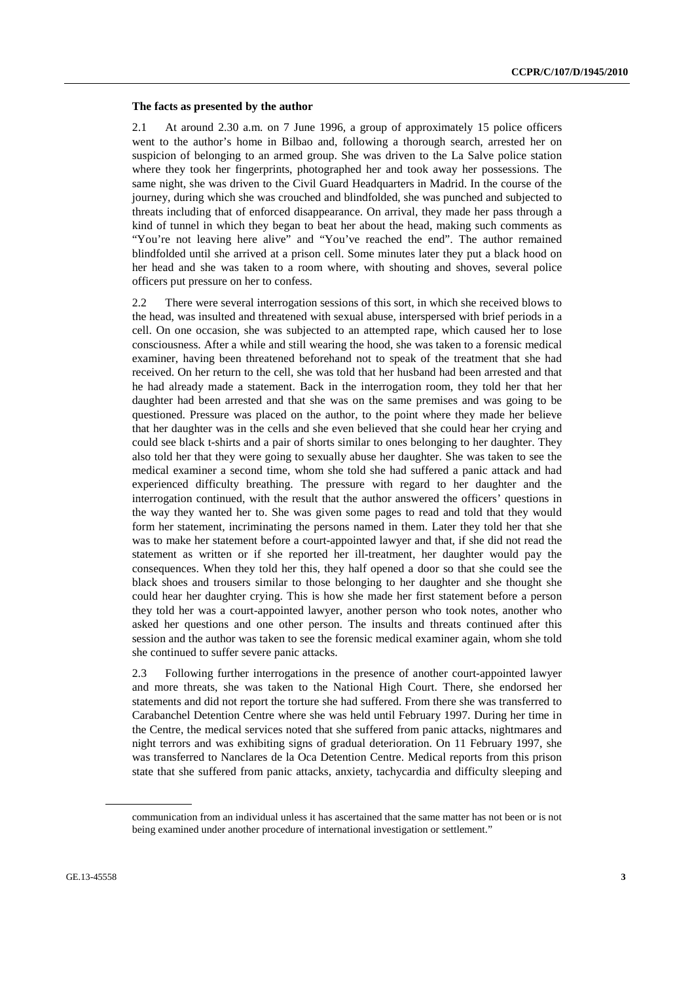#### **The facts as presented by the author**

2.1 At around 2.30 a.m. on 7 June 1996, a group of approximately 15 police officers went to the author's home in Bilbao and, following a thorough search, arrested her on suspicion of belonging to an armed group. She was driven to the La Salve police station where they took her fingerprints, photographed her and took away her possessions. The same night, she was driven to the Civil Guard Headquarters in Madrid. In the course of the journey, during which she was crouched and blindfolded, she was punched and subjected to threats including that of enforced disappearance. On arrival, they made her pass through a kind of tunnel in which they began to beat her about the head, making such comments as "You're not leaving here alive" and "You've reached the end". The author remained blindfolded until she arrived at a prison cell. Some minutes later they put a black hood on her head and she was taken to a room where, with shouting and shoves, several police officers put pressure on her to confess.

2.2 There were several interrogation sessions of this sort, in which she received blows to the head, was insulted and threatened with sexual abuse, interspersed with brief periods in a cell. On one occasion, she was subjected to an attempted rape, which caused her to lose consciousness. After a while and still wearing the hood, she was taken to a forensic medical examiner, having been threatened beforehand not to speak of the treatment that she had received. On her return to the cell, she was told that her husband had been arrested and that he had already made a statement. Back in the interrogation room, they told her that her daughter had been arrested and that she was on the same premises and was going to be questioned. Pressure was placed on the author, to the point where they made her believe that her daughter was in the cells and she even believed that she could hear her crying and could see black t-shirts and a pair of shorts similar to ones belonging to her daughter. They also told her that they were going to sexually abuse her daughter. She was taken to see the medical examiner a second time, whom she told she had suffered a panic attack and had experienced difficulty breathing. The pressure with regard to her daughter and the interrogation continued, with the result that the author answered the officers' questions in the way they wanted her to. She was given some pages to read and told that they would form her statement, incriminating the persons named in them. Later they told her that she was to make her statement before a court-appointed lawyer and that, if she did not read the statement as written or if she reported her ill-treatment, her daughter would pay the consequences. When they told her this, they half opened a door so that she could see the black shoes and trousers similar to those belonging to her daughter and she thought she could hear her daughter crying. This is how she made her first statement before a person they told her was a court-appointed lawyer, another person who took notes, another who asked her questions and one other person. The insults and threats continued after this session and the author was taken to see the forensic medical examiner again, whom she told she continued to suffer severe panic attacks.

2.3 Following further interrogations in the presence of another court-appointed lawyer and more threats, she was taken to the National High Court. There, she endorsed her statements and did not report the torture she had suffered. From there she was transferred to Carabanchel Detention Centre where she was held until February 1997. During her time in the Centre, the medical services noted that she suffered from panic attacks, nightmares and night terrors and was exhibiting signs of gradual deterioration. On 11 February 1997, she was transferred to Nanclares de la Oca Detention Centre. Medical reports from this prison state that she suffered from panic attacks, anxiety, tachycardia and difficulty sleeping and

communication from an individual unless it has ascertained that the same matter has not been or is not being examined under another procedure of international investigation or settlement."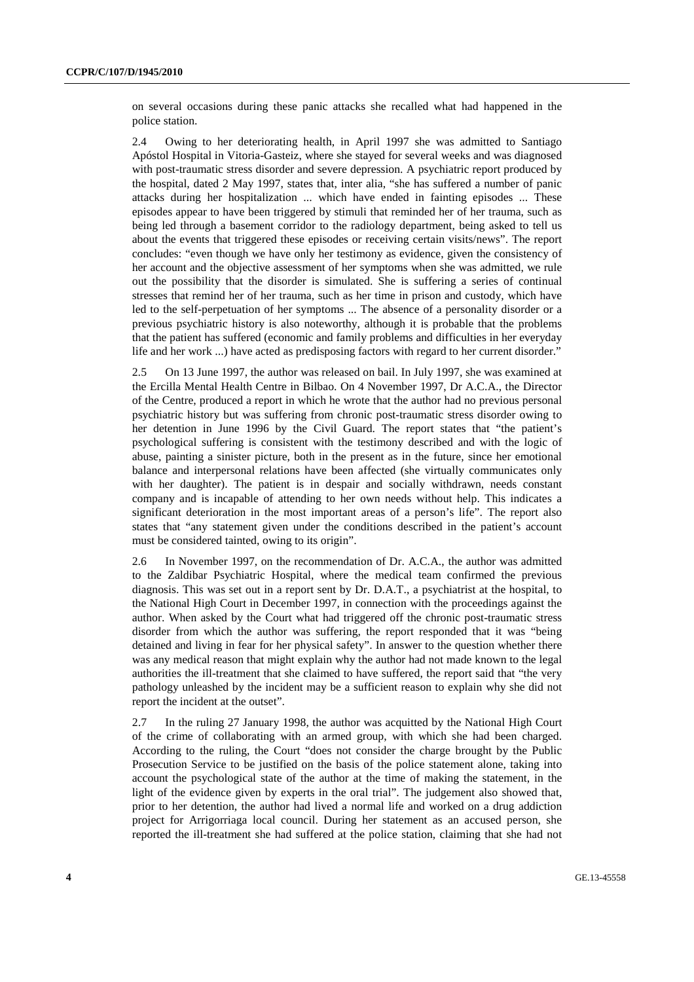on several occasions during these panic attacks she recalled what had happened in the police station.

2.4 Owing to her deteriorating health, in April 1997 she was admitted to Santiago Apóstol Hospital in Vitoria-Gasteiz, where she stayed for several weeks and was diagnosed with post-traumatic stress disorder and severe depression. A psychiatric report produced by the hospital, dated 2 May 1997, states that, inter alia, "she has suffered a number of panic attacks during her hospitalization ... which have ended in fainting episodes ... These episodes appear to have been triggered by stimuli that reminded her of her trauma, such as being led through a basement corridor to the radiology department, being asked to tell us about the events that triggered these episodes or receiving certain visits/news". The report concludes: "even though we have only her testimony as evidence, given the consistency of her account and the objective assessment of her symptoms when she was admitted, we rule out the possibility that the disorder is simulated. She is suffering a series of continual stresses that remind her of her trauma, such as her time in prison and custody, which have led to the self-perpetuation of her symptoms ... The absence of a personality disorder or a previous psychiatric history is also noteworthy, although it is probable that the problems that the patient has suffered (economic and family problems and difficulties in her everyday life and her work ...) have acted as predisposing factors with regard to her current disorder."

2.5 On 13 June 1997, the author was released on bail. In July 1997, she was examined at the Ercilla Mental Health Centre in Bilbao. On 4 November 1997, Dr A.C.A., the Director of the Centre, produced a report in which he wrote that the author had no previous personal psychiatric history but was suffering from chronic post-traumatic stress disorder owing to her detention in June 1996 by the Civil Guard. The report states that "the patient's psychological suffering is consistent with the testimony described and with the logic of abuse, painting a sinister picture, both in the present as in the future, since her emotional balance and interpersonal relations have been affected (she virtually communicates only with her daughter). The patient is in despair and socially withdrawn, needs constant company and is incapable of attending to her own needs without help. This indicates a significant deterioration in the most important areas of a person's life". The report also states that "any statement given under the conditions described in the patient's account must be considered tainted, owing to its origin".

2.6 In November 1997, on the recommendation of Dr. A.C.A., the author was admitted to the Zaldibar Psychiatric Hospital, where the medical team confirmed the previous diagnosis. This was set out in a report sent by Dr. D.A.T., a psychiatrist at the hospital, to the National High Court in December 1997, in connection with the proceedings against the author. When asked by the Court what had triggered off the chronic post-traumatic stress disorder from which the author was suffering, the report responded that it was "being detained and living in fear for her physical safety". In answer to the question whether there was any medical reason that might explain why the author had not made known to the legal authorities the ill-treatment that she claimed to have suffered, the report said that "the very pathology unleashed by the incident may be a sufficient reason to explain why she did not report the incident at the outset".

2.7 In the ruling 27 January 1998, the author was acquitted by the National High Court of the crime of collaborating with an armed group, with which she had been charged. According to the ruling, the Court "does not consider the charge brought by the Public Prosecution Service to be justified on the basis of the police statement alone, taking into account the psychological state of the author at the time of making the statement, in the light of the evidence given by experts in the oral trial". The judgement also showed that, prior to her detention, the author had lived a normal life and worked on a drug addiction project for Arrigorriaga local council. During her statement as an accused person, she reported the ill-treatment she had suffered at the police station, claiming that she had not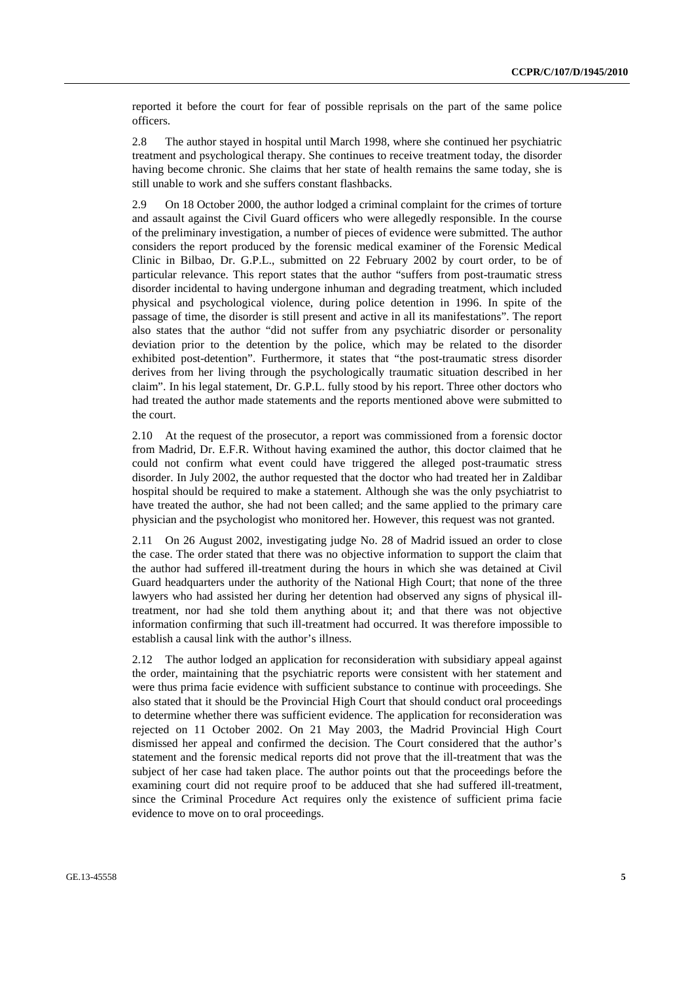reported it before the court for fear of possible reprisals on the part of the same police officers.

2.8 The author stayed in hospital until March 1998, where she continued her psychiatric treatment and psychological therapy. She continues to receive treatment today, the disorder having become chronic. She claims that her state of health remains the same today, she is still unable to work and she suffers constant flashbacks.

2.9 On 18 October 2000, the author lodged a criminal complaint for the crimes of torture and assault against the Civil Guard officers who were allegedly responsible. In the course of the preliminary investigation, a number of pieces of evidence were submitted. The author considers the report produced by the forensic medical examiner of the Forensic Medical Clinic in Bilbao, Dr. G.P.L., submitted on 22 February 2002 by court order, to be of particular relevance. This report states that the author "suffers from post-traumatic stress disorder incidental to having undergone inhuman and degrading treatment, which included physical and psychological violence, during police detention in 1996. In spite of the passage of time, the disorder is still present and active in all its manifestations". The report also states that the author "did not suffer from any psychiatric disorder or personality deviation prior to the detention by the police, which may be related to the disorder exhibited post-detention". Furthermore, it states that "the post-traumatic stress disorder derives from her living through the psychologically traumatic situation described in her claim". In his legal statement, Dr. G.P.L. fully stood by his report. Three other doctors who had treated the author made statements and the reports mentioned above were submitted to the court.

2.10 At the request of the prosecutor, a report was commissioned from a forensic doctor from Madrid, Dr. E.F.R. Without having examined the author, this doctor claimed that he could not confirm what event could have triggered the alleged post-traumatic stress disorder. In July 2002, the author requested that the doctor who had treated her in Zaldibar hospital should be required to make a statement. Although she was the only psychiatrist to have treated the author, she had not been called; and the same applied to the primary care physician and the psychologist who monitored her. However, this request was not granted.

2.11 On 26 August 2002, investigating judge No. 28 of Madrid issued an order to close the case. The order stated that there was no objective information to support the claim that the author had suffered ill-treatment during the hours in which she was detained at Civil Guard headquarters under the authority of the National High Court; that none of the three lawyers who had assisted her during her detention had observed any signs of physical illtreatment, nor had she told them anything about it; and that there was not objective information confirming that such ill-treatment had occurred. It was therefore impossible to establish a causal link with the author's illness.

2.12 The author lodged an application for reconsideration with subsidiary appeal against the order, maintaining that the psychiatric reports were consistent with her statement and were thus prima facie evidence with sufficient substance to continue with proceedings. She also stated that it should be the Provincial High Court that should conduct oral proceedings to determine whether there was sufficient evidence. The application for reconsideration was rejected on 11 October 2002. On 21 May 2003, the Madrid Provincial High Court dismissed her appeal and confirmed the decision. The Court considered that the author's statement and the forensic medical reports did not prove that the ill-treatment that was the subject of her case had taken place. The author points out that the proceedings before the examining court did not require proof to be adduced that she had suffered ill-treatment, since the Criminal Procedure Act requires only the existence of sufficient prima facie evidence to move on to oral proceedings.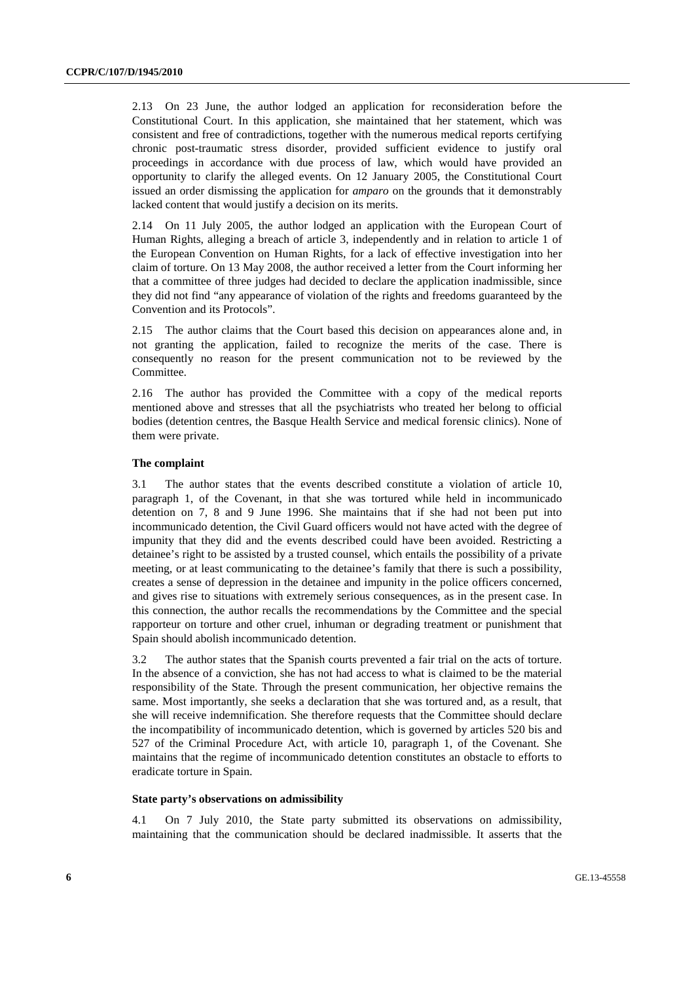2.13 On 23 June, the author lodged an application for reconsideration before the Constitutional Court. In this application, she maintained that her statement, which was consistent and free of contradictions, together with the numerous medical reports certifying chronic post-traumatic stress disorder, provided sufficient evidence to justify oral proceedings in accordance with due process of law, which would have provided an opportunity to clarify the alleged events. On 12 January 2005, the Constitutional Court issued an order dismissing the application for *amparo* on the grounds that it demonstrably lacked content that would justify a decision on its merits.

2.14 On 11 July 2005, the author lodged an application with the European Court of Human Rights, alleging a breach of article 3, independently and in relation to article 1 of the European Convention on Human Rights, for a lack of effective investigation into her claim of torture. On 13 May 2008, the author received a letter from the Court informing her that a committee of three judges had decided to declare the application inadmissible, since they did not find "any appearance of violation of the rights and freedoms guaranteed by the Convention and its Protocols".

2.15 The author claims that the Court based this decision on appearances alone and, in not granting the application, failed to recognize the merits of the case. There is consequently no reason for the present communication not to be reviewed by the Committee.

2.16 The author has provided the Committee with a copy of the medical reports mentioned above and stresses that all the psychiatrists who treated her belong to official bodies (detention centres, the Basque Health Service and medical forensic clinics). None of them were private.

#### **The complaint**

3.1 The author states that the events described constitute a violation of article 10, paragraph 1, of the Covenant, in that she was tortured while held in incommunicado detention on 7, 8 and 9 June 1996. She maintains that if she had not been put into incommunicado detention, the Civil Guard officers would not have acted with the degree of impunity that they did and the events described could have been avoided. Restricting a detainee's right to be assisted by a trusted counsel, which entails the possibility of a private meeting, or at least communicating to the detainee's family that there is such a possibility, creates a sense of depression in the detainee and impunity in the police officers concerned, and gives rise to situations with extremely serious consequences, as in the present case. In this connection, the author recalls the recommendations by the Committee and the special rapporteur on torture and other cruel, inhuman or degrading treatment or punishment that Spain should abolish incommunicado detention.

3.2 The author states that the Spanish courts prevented a fair trial on the acts of torture. In the absence of a conviction, she has not had access to what is claimed to be the material responsibility of the State. Through the present communication, her objective remains the same. Most importantly, she seeks a declaration that she was tortured and, as a result, that she will receive indemnification. She therefore requests that the Committee should declare the incompatibility of incommunicado detention, which is governed by articles 520 bis and 527 of the Criminal Procedure Act, with article 10, paragraph 1, of the Covenant. She maintains that the regime of incommunicado detention constitutes an obstacle to efforts to eradicate torture in Spain.

#### **State party's observations on admissibility**

4.1 On 7 July 2010, the State party submitted its observations on admissibility, maintaining that the communication should be declared inadmissible. It asserts that the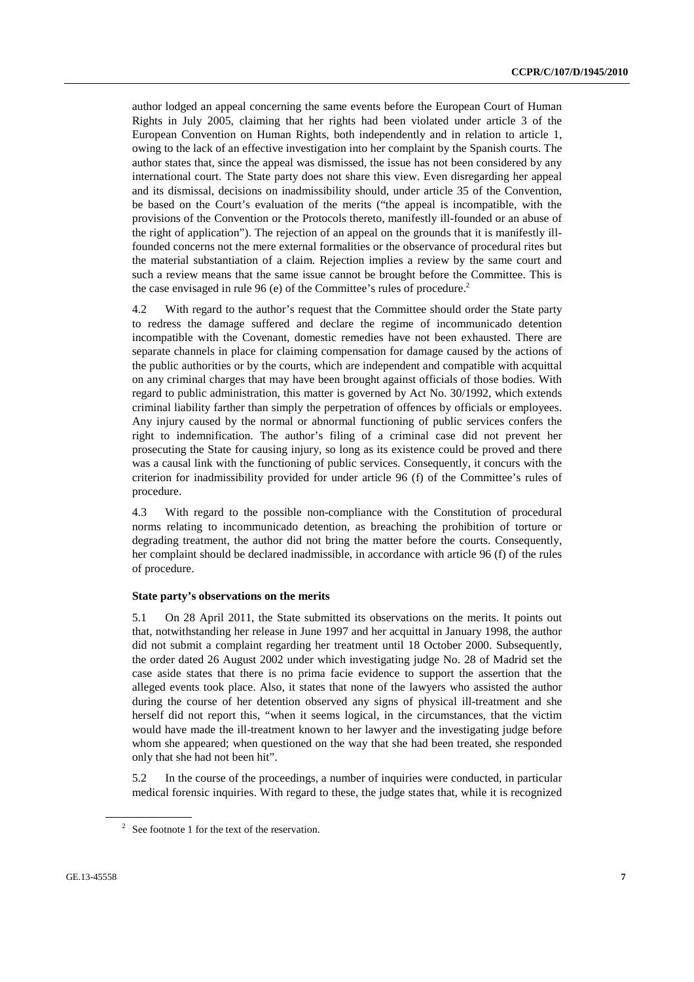author lodged an appeal concerning the same events before the European Court of Human Rights in July 2005, claiming that her rights had been violated under article 3 of the European Convention on Human Rights, both independently and in relation to article 1, owing to the lack of an effective investigation into her complaint by the Spanish courts. The author states that, since the appeal was dismissed, the issue has not been considered by any international court. The State party does not share this view. Even disregarding her appeal and its dismissal, decisions on inadmissibility should, under article 35 of the Convention, be based on the Court's evaluation of the merits ("the appeal is incompatible, with the provisions of the Convention or the Protocols thereto, manifestly ill-founded or an abuse of the right of application"). The rejection of an appeal on the grounds that it is manifestly illfounded concerns not the mere external formalities or the observance of procedural rites but the material substantiation of a claim. Rejection implies a review by the same court and such a review means that the same issue cannot be brought before the Committee. This is the case envisaged in rule  $96$  (e) of the Committee's rules of procedure.<sup>2</sup>

4.2 With regard to the author's request that the Committee should order the State party to redress the damage suffered and declare the regime of incommunicado detention incompatible with the Covenant, domestic remedies have not been exhausted. There are separate channels in place for claiming compensation for damage caused by the actions of the public authorities or by the courts, which are independent and compatible with acquittal on any criminal charges that may have been brought against officials of those bodies. With regard to public administration, this matter is governed by Act No. 30/1992, which extends criminal liability farther than simply the perpetration of offences by officials or employees. Any injury caused by the normal or abnormal functioning of public services confers the right to indemnification. The author's filing of a criminal case did not prevent her prosecuting the State for causing injury, so long as its existence could be proved and there was a causal link with the functioning of public services. Consequently, it concurs with the criterion for inadmissibility provided for under article 96 (f) of the Committee's rules of procedure.

4.3 With regard to the possible non-compliance with the Constitution of procedural norms relating to incommunicado detention, as breaching the prohibition of torture or degrading treatment, the author did not bring the matter before the courts. Consequently, her complaint should be declared inadmissible, in accordance with article 96 (f) of the rules of procedure.

#### **State party's observations on the merits**

5.1 On 28 April 2011, the State submitted its observations on the merits. It points out that, notwithstanding her release in June 1997 and her acquittal in January 1998, the author did not submit a complaint regarding her treatment until 18 October 2000. Subsequently, the order dated 26 August 2002 under which investigating judge No. 28 of Madrid set the case aside states that there is no prima facie evidence to support the assertion that the alleged events took place. Also, it states that none of the lawyers who assisted the author during the course of her detention observed any signs of physical ill-treatment and she herself did not report this, "when it seems logical, in the circumstances, that the victim would have made the ill-treatment known to her lawyer and the investigating judge before whom she appeared; when questioned on the way that she had been treated, she responded only that she had not been hit".

5.2 In the course of the proceedings, a number of inquiries were conducted, in particular medical forensic inquiries. With regard to these, the judge states that, while it is recognized

 $2^2$  See footnote 1 for the text of the reservation.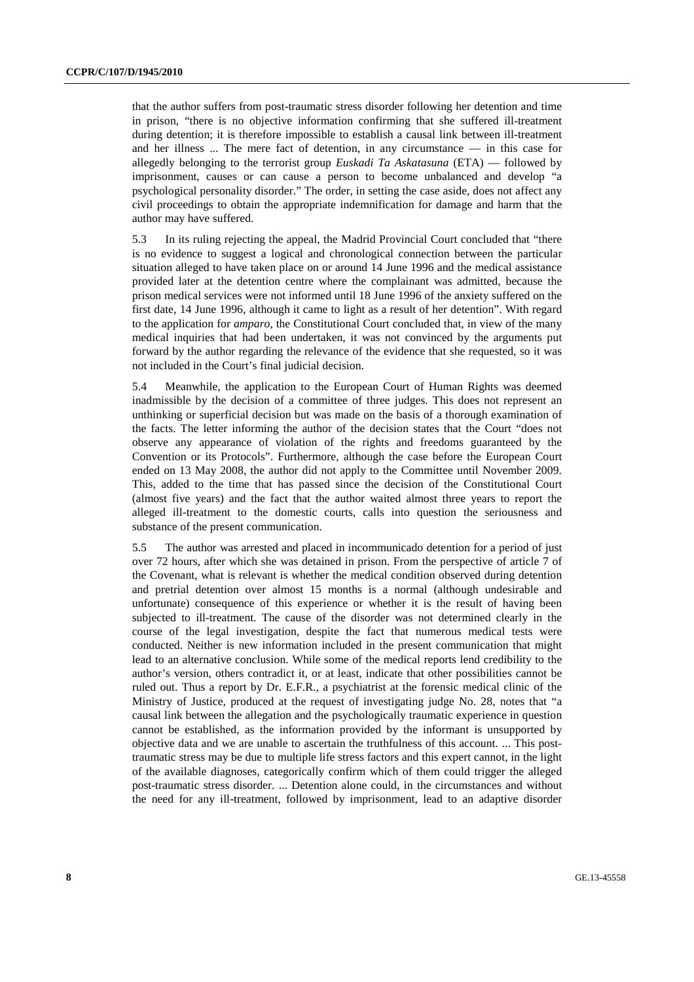that the author suffers from post-traumatic stress disorder following her detention and time in prison, "there is no objective information confirming that she suffered ill-treatment during detention; it is therefore impossible to establish a causal link between ill-treatment and her illness ... The mere fact of detention, in any circumstance — in this case for allegedly belonging to the terrorist group *Euskadi Ta Askatasuna* (ETA) — followed by imprisonment, causes or can cause a person to become unbalanced and develop "a psychological personality disorder." The order, in setting the case aside, does not affect any civil proceedings to obtain the appropriate indemnification for damage and harm that the author may have suffered.

5.3 In its ruling rejecting the appeal, the Madrid Provincial Court concluded that "there is no evidence to suggest a logical and chronological connection between the particular situation alleged to have taken place on or around 14 June 1996 and the medical assistance provided later at the detention centre where the complainant was admitted, because the prison medical services were not informed until 18 June 1996 of the anxiety suffered on the first date, 14 June 1996, although it came to light as a result of her detention". With regard to the application for *amparo*, the Constitutional Court concluded that, in view of the many medical inquiries that had been undertaken, it was not convinced by the arguments put forward by the author regarding the relevance of the evidence that she requested, so it was not included in the Court's final judicial decision.

5.4 Meanwhile, the application to the European Court of Human Rights was deemed inadmissible by the decision of a committee of three judges. This does not represent an unthinking or superficial decision but was made on the basis of a thorough examination of the facts. The letter informing the author of the decision states that the Court "does not observe any appearance of violation of the rights and freedoms guaranteed by the Convention or its Protocols". Furthermore, although the case before the European Court ended on 13 May 2008, the author did not apply to the Committee until November 2009. This, added to the time that has passed since the decision of the Constitutional Court (almost five years) and the fact that the author waited almost three years to report the alleged ill-treatment to the domestic courts, calls into question the seriousness and substance of the present communication.

5.5 The author was arrested and placed in incommunicado detention for a period of just over 72 hours, after which she was detained in prison. From the perspective of article 7 of the Covenant, what is relevant is whether the medical condition observed during detention and pretrial detention over almost 15 months is a normal (although undesirable and unfortunate) consequence of this experience or whether it is the result of having been subjected to ill-treatment. The cause of the disorder was not determined clearly in the course of the legal investigation, despite the fact that numerous medical tests were conducted. Neither is new information included in the present communication that might lead to an alternative conclusion. While some of the medical reports lend credibility to the author's version, others contradict it, or at least, indicate that other possibilities cannot be ruled out. Thus a report by Dr. E.F.R., a psychiatrist at the forensic medical clinic of the Ministry of Justice, produced at the request of investigating judge No. 28, notes that "a causal link between the allegation and the psychologically traumatic experience in question cannot be established, as the information provided by the informant is unsupported by objective data and we are unable to ascertain the truthfulness of this account. ... This posttraumatic stress may be due to multiple life stress factors and this expert cannot, in the light of the available diagnoses, categorically confirm which of them could trigger the alleged post-traumatic stress disorder. ... Detention alone could, in the circumstances and without the need for any ill-treatment, followed by imprisonment, lead to an adaptive disorder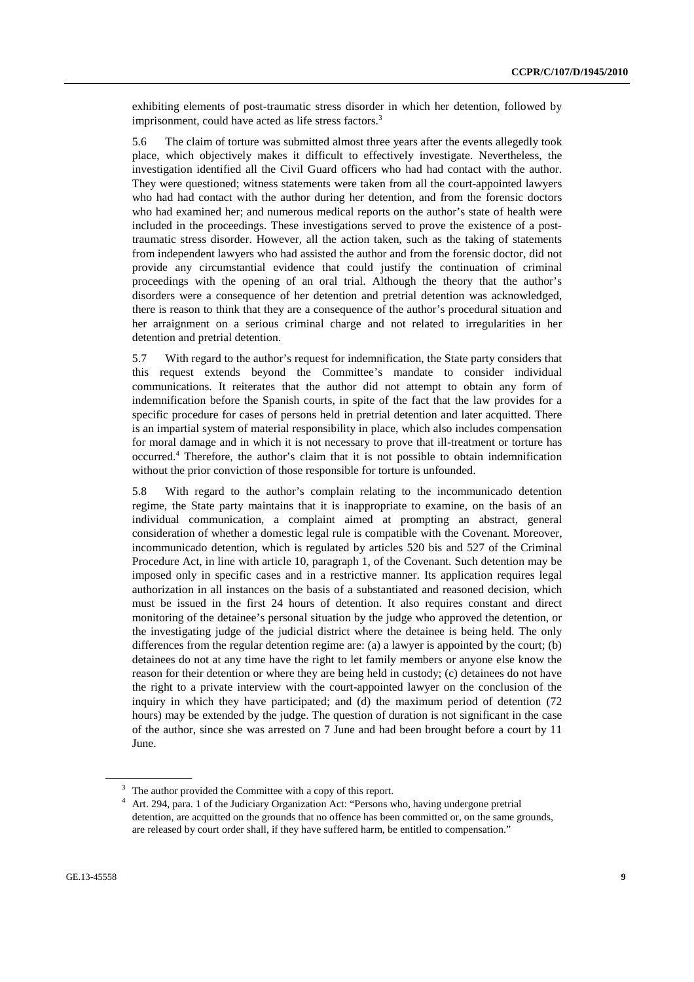exhibiting elements of post-traumatic stress disorder in which her detention, followed by imprisonment, could have acted as life stress factors.<sup>3</sup>

5.6 The claim of torture was submitted almost three years after the events allegedly took place, which objectively makes it difficult to effectively investigate. Nevertheless, the investigation identified all the Civil Guard officers who had had contact with the author. They were questioned; witness statements were taken from all the court-appointed lawyers who had had contact with the author during her detention, and from the forensic doctors who had examined her; and numerous medical reports on the author's state of health were included in the proceedings. These investigations served to prove the existence of a posttraumatic stress disorder. However, all the action taken, such as the taking of statements from independent lawyers who had assisted the author and from the forensic doctor, did not provide any circumstantial evidence that could justify the continuation of criminal proceedings with the opening of an oral trial. Although the theory that the author's disorders were a consequence of her detention and pretrial detention was acknowledged, there is reason to think that they are a consequence of the author's procedural situation and her arraignment on a serious criminal charge and not related to irregularities in her detention and pretrial detention.

5.7 With regard to the author's request for indemnification, the State party considers that this request extends beyond the Committee's mandate to consider individual communications. It reiterates that the author did not attempt to obtain any form of indemnification before the Spanish courts, in spite of the fact that the law provides for a specific procedure for cases of persons held in pretrial detention and later acquitted. There is an impartial system of material responsibility in place, which also includes compensation for moral damage and in which it is not necessary to prove that ill-treatment or torture has occurred.4 Therefore, the author's claim that it is not possible to obtain indemnification without the prior conviction of those responsible for torture is unfounded.

5.8 With regard to the author's complain relating to the incommunicado detention regime, the State party maintains that it is inappropriate to examine, on the basis of an individual communication, a complaint aimed at prompting an abstract, general consideration of whether a domestic legal rule is compatible with the Covenant. Moreover, incommunicado detention, which is regulated by articles 520 bis and 527 of the Criminal Procedure Act, in line with article 10, paragraph 1, of the Covenant. Such detention may be imposed only in specific cases and in a restrictive manner. Its application requires legal authorization in all instances on the basis of a substantiated and reasoned decision, which must be issued in the first 24 hours of detention. It also requires constant and direct monitoring of the detainee's personal situation by the judge who approved the detention, or the investigating judge of the judicial district where the detainee is being held. The only differences from the regular detention regime are: (a) a lawyer is appointed by the court; (b) detainees do not at any time have the right to let family members or anyone else know the reason for their detention or where they are being held in custody; (c) detainees do not have the right to a private interview with the court-appointed lawyer on the conclusion of the inquiry in which they have participated; and (d) the maximum period of detention (72 hours) may be extended by the judge. The question of duration is not significant in the case of the author, since she was arrested on 7 June and had been brought before a court by 11 June.

 $3$  The author provided the Committee with a copy of this report.

<sup>&</sup>lt;sup>4</sup> Art. 294, para. 1 of the Judiciary Organization Act: "Persons who, having undergone pretrial detention, are acquitted on the grounds that no offence has been committed or, on the same grounds, are released by court order shall, if they have suffered harm, be entitled to compensation."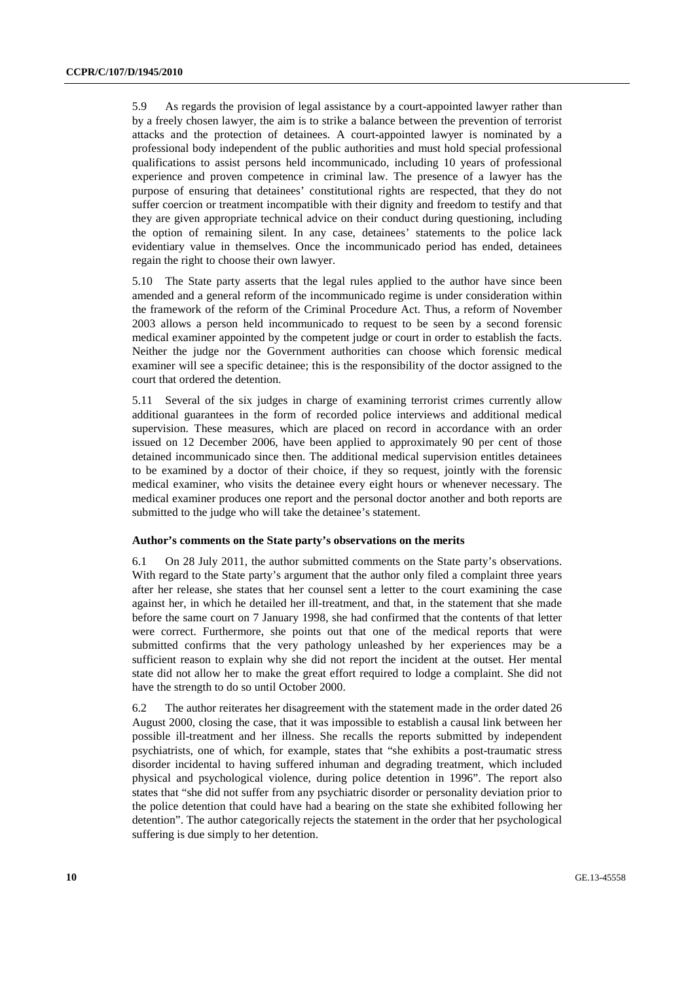5.9 As regards the provision of legal assistance by a court-appointed lawyer rather than by a freely chosen lawyer, the aim is to strike a balance between the prevention of terrorist attacks and the protection of detainees. A court-appointed lawyer is nominated by a professional body independent of the public authorities and must hold special professional qualifications to assist persons held incommunicado, including 10 years of professional experience and proven competence in criminal law. The presence of a lawyer has the purpose of ensuring that detainees' constitutional rights are respected, that they do not suffer coercion or treatment incompatible with their dignity and freedom to testify and that they are given appropriate technical advice on their conduct during questioning, including the option of remaining silent. In any case, detainees' statements to the police lack evidentiary value in themselves. Once the incommunicado period has ended, detainees regain the right to choose their own lawyer.

5.10 The State party asserts that the legal rules applied to the author have since been amended and a general reform of the incommunicado regime is under consideration within the framework of the reform of the Criminal Procedure Act. Thus, a reform of November 2003 allows a person held incommunicado to request to be seen by a second forensic medical examiner appointed by the competent judge or court in order to establish the facts. Neither the judge nor the Government authorities can choose which forensic medical examiner will see a specific detainee; this is the responsibility of the doctor assigned to the court that ordered the detention.

5.11 Several of the six judges in charge of examining terrorist crimes currently allow additional guarantees in the form of recorded police interviews and additional medical supervision. These measures, which are placed on record in accordance with an order issued on 12 December 2006, have been applied to approximately 90 per cent of those detained incommunicado since then. The additional medical supervision entitles detainees to be examined by a doctor of their choice, if they so request, jointly with the forensic medical examiner, who visits the detainee every eight hours or whenever necessary. The medical examiner produces one report and the personal doctor another and both reports are submitted to the judge who will take the detainee's statement.

#### **Author's comments on the State party's observations on the merits**

6.1 On 28 July 2011, the author submitted comments on the State party's observations. With regard to the State party's argument that the author only filed a complaint three years after her release, she states that her counsel sent a letter to the court examining the case against her, in which he detailed her ill-treatment, and that, in the statement that she made before the same court on 7 January 1998, she had confirmed that the contents of that letter were correct. Furthermore, she points out that one of the medical reports that were submitted confirms that the very pathology unleashed by her experiences may be a sufficient reason to explain why she did not report the incident at the outset. Her mental state did not allow her to make the great effort required to lodge a complaint. She did not have the strength to do so until October 2000.

6.2 The author reiterates her disagreement with the statement made in the order dated 26 August 2000, closing the case, that it was impossible to establish a causal link between her possible ill-treatment and her illness. She recalls the reports submitted by independent psychiatrists, one of which, for example, states that "she exhibits a post-traumatic stress disorder incidental to having suffered inhuman and degrading treatment, which included physical and psychological violence, during police detention in 1996". The report also states that "she did not suffer from any psychiatric disorder or personality deviation prior to the police detention that could have had a bearing on the state she exhibited following her detention". The author categorically rejects the statement in the order that her psychological suffering is due simply to her detention.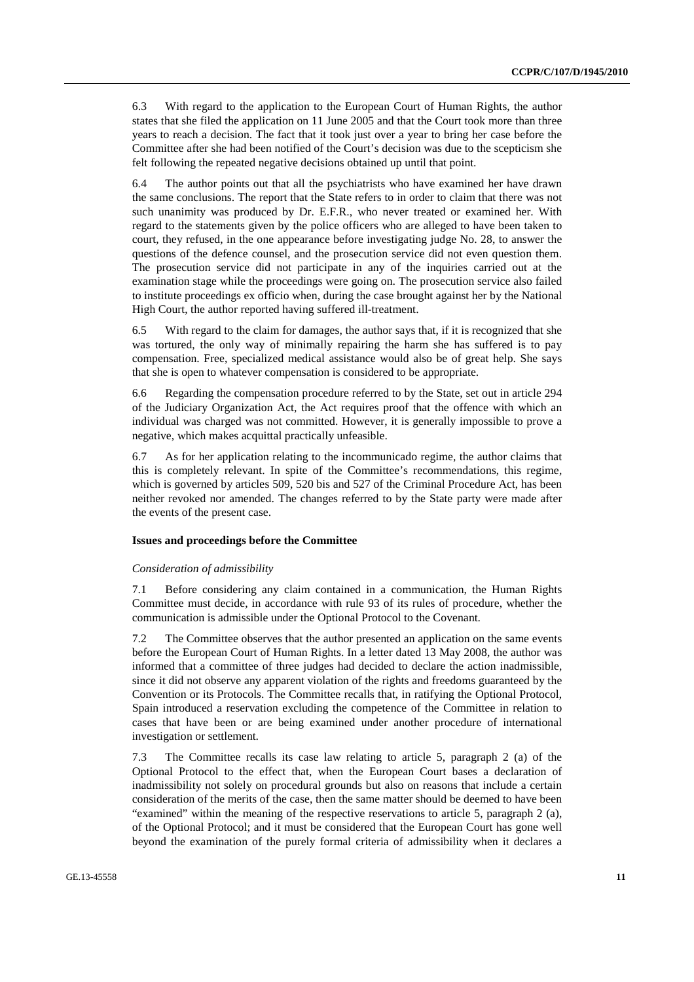6.3 With regard to the application to the European Court of Human Rights, the author states that she filed the application on 11 June 2005 and that the Court took more than three years to reach a decision. The fact that it took just over a year to bring her case before the Committee after she had been notified of the Court's decision was due to the scepticism she felt following the repeated negative decisions obtained up until that point.

6.4 The author points out that all the psychiatrists who have examined her have drawn the same conclusions. The report that the State refers to in order to claim that there was not such unanimity was produced by Dr. E.F.R., who never treated or examined her. With regard to the statements given by the police officers who are alleged to have been taken to court, they refused, in the one appearance before investigating judge No. 28, to answer the questions of the defence counsel, and the prosecution service did not even question them. The prosecution service did not participate in any of the inquiries carried out at the examination stage while the proceedings were going on. The prosecution service also failed to institute proceedings ex officio when, during the case brought against her by the National High Court, the author reported having suffered ill-treatment.

6.5 With regard to the claim for damages, the author says that, if it is recognized that she was tortured, the only way of minimally repairing the harm she has suffered is to pay compensation. Free, specialized medical assistance would also be of great help. She says that she is open to whatever compensation is considered to be appropriate.

6.6 Regarding the compensation procedure referred to by the State, set out in article 294 of the Judiciary Organization Act, the Act requires proof that the offence with which an individual was charged was not committed. However, it is generally impossible to prove a negative, which makes acquittal practically unfeasible.

6.7 As for her application relating to the incommunicado regime, the author claims that this is completely relevant. In spite of the Committee's recommendations, this regime, which is governed by articles 509, 520 bis and 527 of the Criminal Procedure Act, has been neither revoked nor amended. The changes referred to by the State party were made after the events of the present case.

#### **Issues and proceedings before the Committee**

#### *Consideration of admissibility*

7.1 Before considering any claim contained in a communication, the Human Rights Committee must decide, in accordance with rule 93 of its rules of procedure, whether the communication is admissible under the Optional Protocol to the Covenant.

7.2 The Committee observes that the author presented an application on the same events before the European Court of Human Rights. In a letter dated 13 May 2008, the author was informed that a committee of three judges had decided to declare the action inadmissible, since it did not observe any apparent violation of the rights and freedoms guaranteed by the Convention or its Protocols. The Committee recalls that, in ratifying the Optional Protocol, Spain introduced a reservation excluding the competence of the Committee in relation to cases that have been or are being examined under another procedure of international investigation or settlement.

7.3 The Committee recalls its case law relating to article 5, paragraph 2 (a) of the Optional Protocol to the effect that, when the European Court bases a declaration of inadmissibility not solely on procedural grounds but also on reasons that include a certain consideration of the merits of the case, then the same matter should be deemed to have been "examined" within the meaning of the respective reservations to article 5, paragraph 2 (a), of the Optional Protocol; and it must be considered that the European Court has gone well beyond the examination of the purely formal criteria of admissibility when it declares a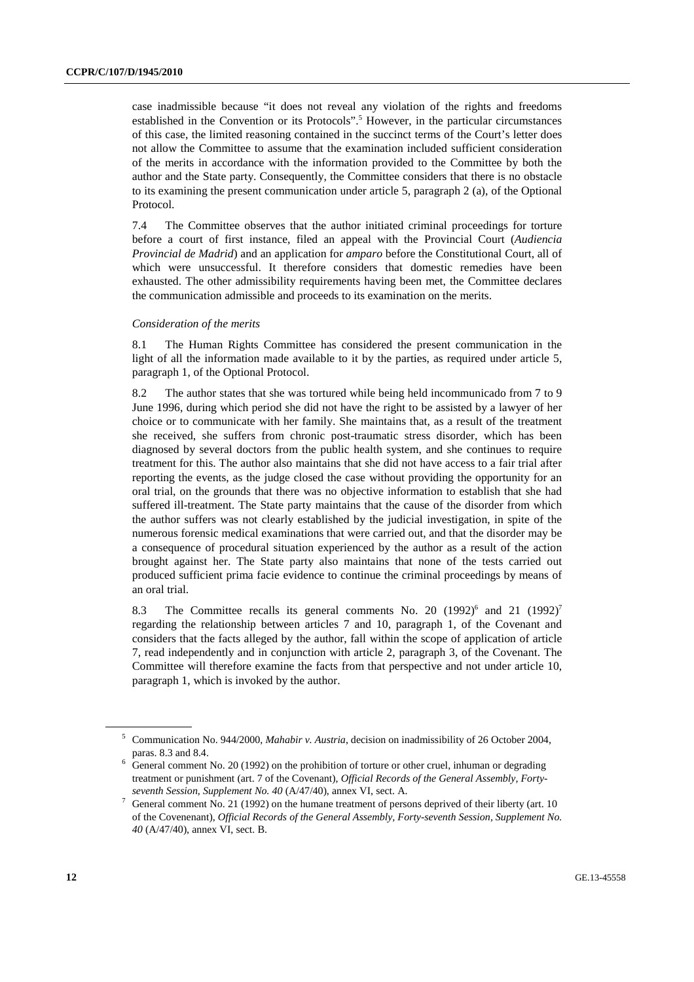case inadmissible because "it does not reveal any violation of the rights and freedoms established in the Convention or its Protocols".<sup>5</sup> However, in the particular circumstances of this case, the limited reasoning contained in the succinct terms of the Court's letter does not allow the Committee to assume that the examination included sufficient consideration of the merits in accordance with the information provided to the Committee by both the author and the State party. Consequently, the Committee considers that there is no obstacle to its examining the present communication under article 5, paragraph 2 (a), of the Optional Protocol.

7.4 The Committee observes that the author initiated criminal proceedings for torture before a court of first instance, filed an appeal with the Provincial Court (*Audiencia Provincial de Madrid*) and an application for *amparo* before the Constitutional Court, all of which were unsuccessful. It therefore considers that domestic remedies have been exhausted. The other admissibility requirements having been met, the Committee declares the communication admissible and proceeds to its examination on the merits.

#### *Consideration of the merits*

8.1 The Human Rights Committee has considered the present communication in the light of all the information made available to it by the parties, as required under article 5, paragraph 1, of the Optional Protocol.

8.2 The author states that she was tortured while being held incommunicado from 7 to 9 June 1996, during which period she did not have the right to be assisted by a lawyer of her choice or to communicate with her family. She maintains that, as a result of the treatment she received, she suffers from chronic post-traumatic stress disorder, which has been diagnosed by several doctors from the public health system, and she continues to require treatment for this. The author also maintains that she did not have access to a fair trial after reporting the events, as the judge closed the case without providing the opportunity for an oral trial, on the grounds that there was no objective information to establish that she had suffered ill-treatment. The State party maintains that the cause of the disorder from which the author suffers was not clearly established by the judicial investigation, in spite of the numerous forensic medical examinations that were carried out, and that the disorder may be a consequence of procedural situation experienced by the author as a result of the action brought against her. The State party also maintains that none of the tests carried out produced sufficient prima facie evidence to continue the criminal proceedings by means of an oral trial.

8.3 The Committee recalls its general comments No. 20  $(1992)^6$  and 21  $(1992)^7$ regarding the relationship between articles 7 and 10, paragraph 1, of the Covenant and considers that the facts alleged by the author, fall within the scope of application of article 7, read independently and in conjunction with article 2, paragraph 3, of the Covenant. The Committee will therefore examine the facts from that perspective and not under article 10, paragraph 1, which is invoked by the author.

<sup>5</sup> Communication No. 944/2000, *Mahabir v. Austria*, decision on inadmissibility of 26 October 2004,

paras. 8.3 and 8.4.<br><sup>6</sup> General comment No. 20 (1992) on the prohibition of torture or other cruel, inhuman or degrading treatment or punishment (art. 7 of the Covenant), *Official Records of the General Assembly, Fortyseventh Session, Supplement No. 40* (A/47/40), annex VI, sect. A. 7

General comment No. 21 (1992) on the humane treatment of persons deprived of their liberty (art. 10 of the Covenenant), *Official Records of the General Assembly, Forty-seventh Session, Supplement No. 40* (A/47/40), annex VI, sect. B.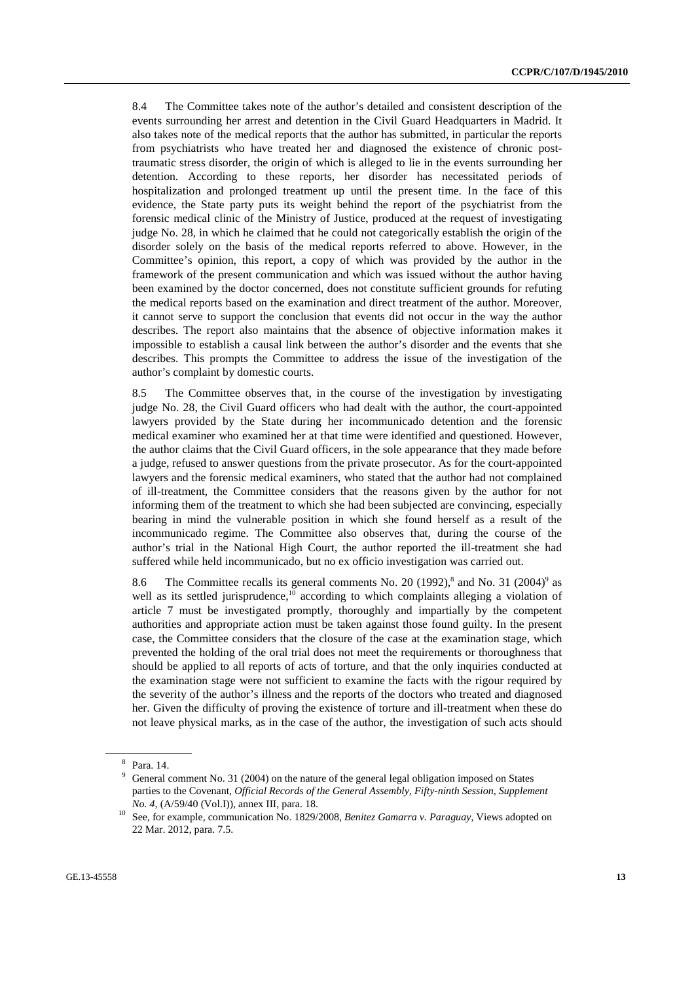8.4 The Committee takes note of the author's detailed and consistent description of the events surrounding her arrest and detention in the Civil Guard Headquarters in Madrid. It also takes note of the medical reports that the author has submitted, in particular the reports from psychiatrists who have treated her and diagnosed the existence of chronic posttraumatic stress disorder, the origin of which is alleged to lie in the events surrounding her detention. According to these reports, her disorder has necessitated periods of hospitalization and prolonged treatment up until the present time. In the face of this evidence, the State party puts its weight behind the report of the psychiatrist from the forensic medical clinic of the Ministry of Justice, produced at the request of investigating judge No. 28, in which he claimed that he could not categorically establish the origin of the disorder solely on the basis of the medical reports referred to above. However, in the Committee's opinion, this report, a copy of which was provided by the author in the framework of the present communication and which was issued without the author having been examined by the doctor concerned, does not constitute sufficient grounds for refuting the medical reports based on the examination and direct treatment of the author. Moreover, it cannot serve to support the conclusion that events did not occur in the way the author describes. The report also maintains that the absence of objective information makes it impossible to establish a causal link between the author's disorder and the events that she describes. This prompts the Committee to address the issue of the investigation of the author's complaint by domestic courts.

8.5 The Committee observes that, in the course of the investigation by investigating judge No. 28, the Civil Guard officers who had dealt with the author, the court-appointed lawyers provided by the State during her incommunicado detention and the forensic medical examiner who examined her at that time were identified and questioned. However, the author claims that the Civil Guard officers, in the sole appearance that they made before a judge, refused to answer questions from the private prosecutor. As for the court-appointed lawyers and the forensic medical examiners, who stated that the author had not complained of ill-treatment, the Committee considers that the reasons given by the author for not informing them of the treatment to which she had been subjected are convincing, especially bearing in mind the vulnerable position in which she found herself as a result of the incommunicado regime. The Committee also observes that, during the course of the author's trial in the National High Court, the author reported the ill-treatment she had suffered while held incommunicado, but no ex officio investigation was carried out.

8.6 The Committee recalls its general comments No. 20  $(1992)^8$  and No. 31  $(2004)^9$  as well as its settled jurisprudence, $10$  according to which complaints alleging a violation of article 7 must be investigated promptly, thoroughly and impartially by the competent authorities and appropriate action must be taken against those found guilty. In the present case, the Committee considers that the closure of the case at the examination stage, which prevented the holding of the oral trial does not meet the requirements or thoroughness that should be applied to all reports of acts of torture, and that the only inquiries conducted at the examination stage were not sufficient to examine the facts with the rigour required by the severity of the author's illness and the reports of the doctors who treated and diagnosed her. Given the difficulty of proving the existence of torture and ill-treatment when these do not leave physical marks, as in the case of the author, the investigation of such acts should

<sup>8</sup> Para. 14.

<sup>&</sup>lt;sup>9</sup> General comment No. 31 (2004) on the nature of the general legal obligation imposed on States parties to the Covenant, *Official Records of the General Assembly, Fifty-ninth Session, Supplement* 

*No. 4*, (A/59/40 (Vol.I)), annex III, para. 18.<br><sup>10</sup> See, for example, communication No. 1829/2008, *Benitez Gamarra v. Paraguay*, Views adopted on 22 Mar. 2012, para. 7.5.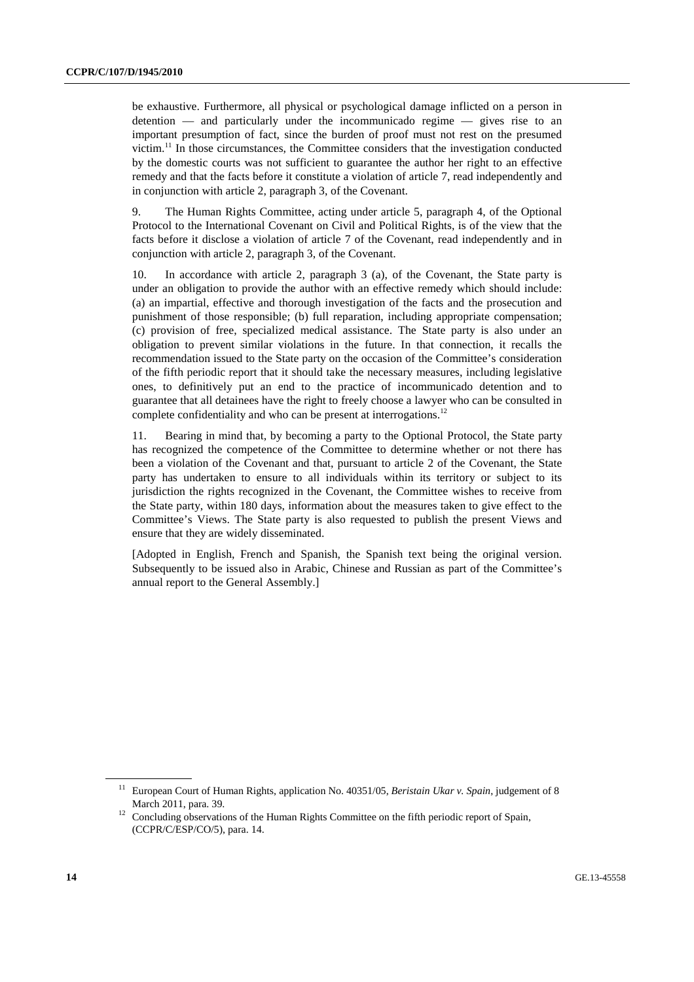be exhaustive. Furthermore, all physical or psychological damage inflicted on a person in detention — and particularly under the incommunicado regime — gives rise to an important presumption of fact, since the burden of proof must not rest on the presumed victim.11 In those circumstances, the Committee considers that the investigation conducted by the domestic courts was not sufficient to guarantee the author her right to an effective remedy and that the facts before it constitute a violation of article 7, read independently and in conjunction with article 2, paragraph 3, of the Covenant.

9. The Human Rights Committee, acting under article 5, paragraph 4, of the Optional Protocol to the International Covenant on Civil and Political Rights, is of the view that the facts before it disclose a violation of article 7 of the Covenant, read independently and in conjunction with article 2, paragraph 3, of the Covenant.

10. In accordance with article 2, paragraph 3 (a), of the Covenant, the State party is under an obligation to provide the author with an effective remedy which should include: (a) an impartial, effective and thorough investigation of the facts and the prosecution and punishment of those responsible; (b) full reparation, including appropriate compensation; (c) provision of free, specialized medical assistance. The State party is also under an obligation to prevent similar violations in the future. In that connection, it recalls the recommendation issued to the State party on the occasion of the Committee's consideration of the fifth periodic report that it should take the necessary measures, including legislative ones, to definitively put an end to the practice of incommunicado detention and to guarantee that all detainees have the right to freely choose a lawyer who can be consulted in complete confidentiality and who can be present at interrogations.<sup>12</sup>

11. Bearing in mind that, by becoming a party to the Optional Protocol, the State party has recognized the competence of the Committee to determine whether or not there has been a violation of the Covenant and that, pursuant to article 2 of the Covenant, the State party has undertaken to ensure to all individuals within its territory or subject to its jurisdiction the rights recognized in the Covenant, the Committee wishes to receive from the State party, within 180 days, information about the measures taken to give effect to the Committee's Views. The State party is also requested to publish the present Views and ensure that they are widely disseminated.

[Adopted in English, French and Spanish, the Spanish text being the original version. Subsequently to be issued also in Arabic, Chinese and Russian as part of the Committee's annual report to the General Assembly.]

<sup>&</sup>lt;sup>11</sup> European Court of Human Rights, application No. 40351/05, *Beristain Ukar v. Spain*, judgement of 8

March 2011, para. 39. 12 Concluding observations of the Human Rights Committee on the fifth periodic report of Spain, (CCPR/C/ESP/CO/5), para. 14.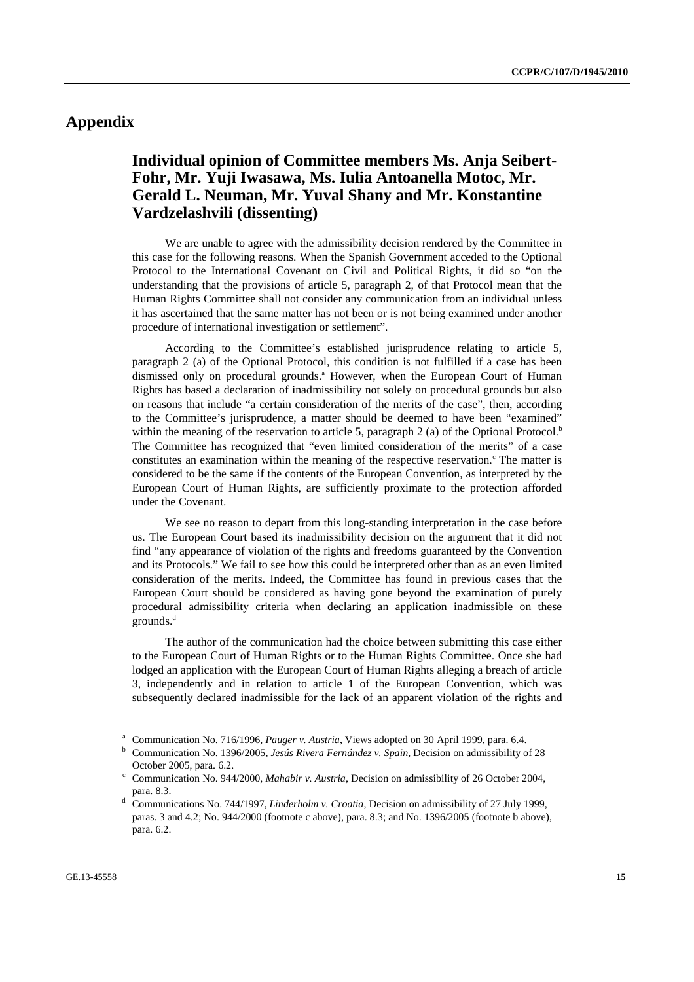# **Appendix**

## **Individual opinion of Committee members Ms. Anja Seibert-Fohr, Mr. Yuji Iwasawa, Ms. Iulia Antoanella Motoc, Mr. Gerald L. Neuman, Mr. Yuval Shany and Mr. Konstantine Vardzelashvili (dissenting)**

 We are unable to agree with the admissibility decision rendered by the Committee in this case for the following reasons. When the Spanish Government acceded to the Optional Protocol to the International Covenant on Civil and Political Rights, it did so "on the understanding that the provisions of article 5, paragraph 2, of that Protocol mean that the Human Rights Committee shall not consider any communication from an individual unless it has ascertained that the same matter has not been or is not being examined under another procedure of international investigation or settlement".

 According to the Committee's established jurisprudence relating to article 5, paragraph 2 (a) of the Optional Protocol, this condition is not fulfilled if a case has been dismissed only on procedural grounds.<sup>a</sup> However, when the European Court of Human Rights has based a declaration of inadmissibility not solely on procedural grounds but also on reasons that include "a certain consideration of the merits of the case", then, according to the Committee's jurisprudence, a matter should be deemed to have been "examined" within the meaning of the reservation to article 5, paragraph 2 (a) of the Optional Protocol.<sup>b</sup> The Committee has recognized that "even limited consideration of the merits" of a case constitutes an examination within the meaning of the respective reservation. $\epsilon$  The matter is considered to be the same if the contents of the European Convention, as interpreted by the European Court of Human Rights, are sufficiently proximate to the protection afforded under the Covenant.

 We see no reason to depart from this long-standing interpretation in the case before us. The European Court based its inadmissibility decision on the argument that it did not find "any appearance of violation of the rights and freedoms guaranteed by the Convention and its Protocols." We fail to see how this could be interpreted other than as an even limited consideration of the merits. Indeed, the Committee has found in previous cases that the European Court should be considered as having gone beyond the examination of purely procedural admissibility criteria when declaring an application inadmissible on these grounds.<sup>d</sup>

 The author of the communication had the choice between submitting this case either to the European Court of Human Rights or to the Human Rights Committee. Once she had lodged an application with the European Court of Human Rights alleging a breach of article 3, independently and in relation to article 1 of the European Convention, which was subsequently declared inadmissible for the lack of an apparent violation of the rights and

<sup>&</sup>lt;sup>a</sup> Communication No. 716/1996, *Pauger v. Austria*, Views adopted on 30 April 1999, para. 6.4. **b** Communication No. 1306/2005, *Jacía Piuger Esmándas y. Spain* Decision on admissibility or

Communication No. 1396/2005, *Jesús Rivera Fernández v. Spain*, Decision on admissibility of 28 October 2005, para. 6.2.

Communication No. 944/2000, *Mahabir v. Austria*, Decision on admissibility of 26 October 2004, para. 8.3.

Communications No. 744/1997, *Linderholm v. Croatia*, Decision on admissibility of 27 July 1999, paras. 3 and 4.2; No. 944/2000 (footnote c above), para. 8.3; and No. 1396/2005 (footnote b above), para. 6.2.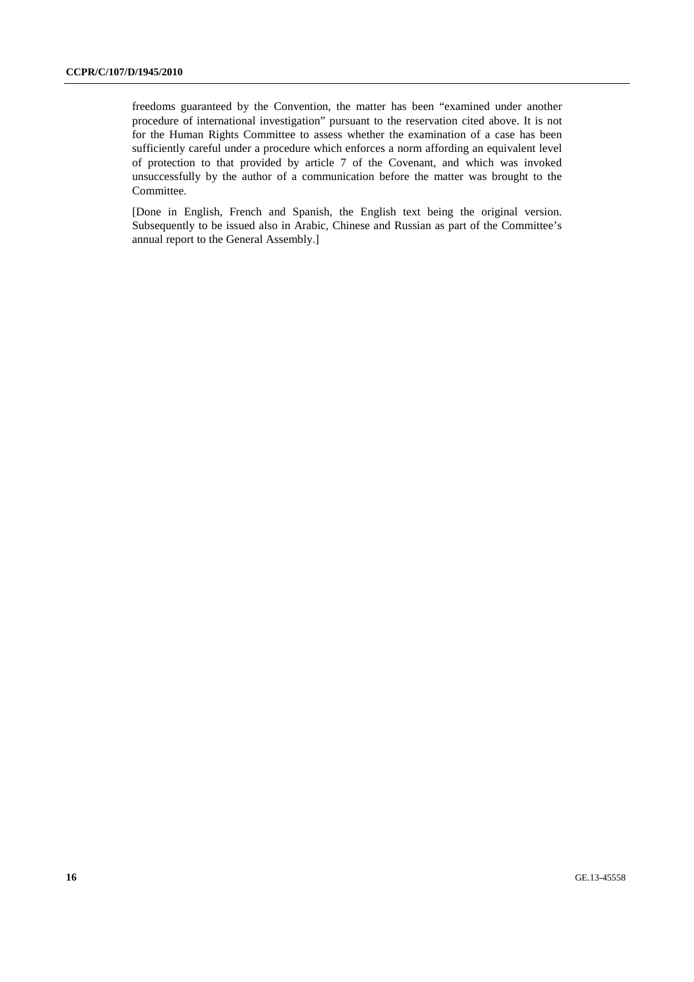freedoms guaranteed by the Convention, the matter has been "examined under another procedure of international investigation" pursuant to the reservation cited above. It is not for the Human Rights Committee to assess whether the examination of a case has been sufficiently careful under a procedure which enforces a norm affording an equivalent level of protection to that provided by article 7 of the Covenant, and which was invoked unsuccessfully by the author of a communication before the matter was brought to the Committee.

[Done in English, French and Spanish, the English text being the original version. Subsequently to be issued also in Arabic, Chinese and Russian as part of the Committee's annual report to the General Assembly.]